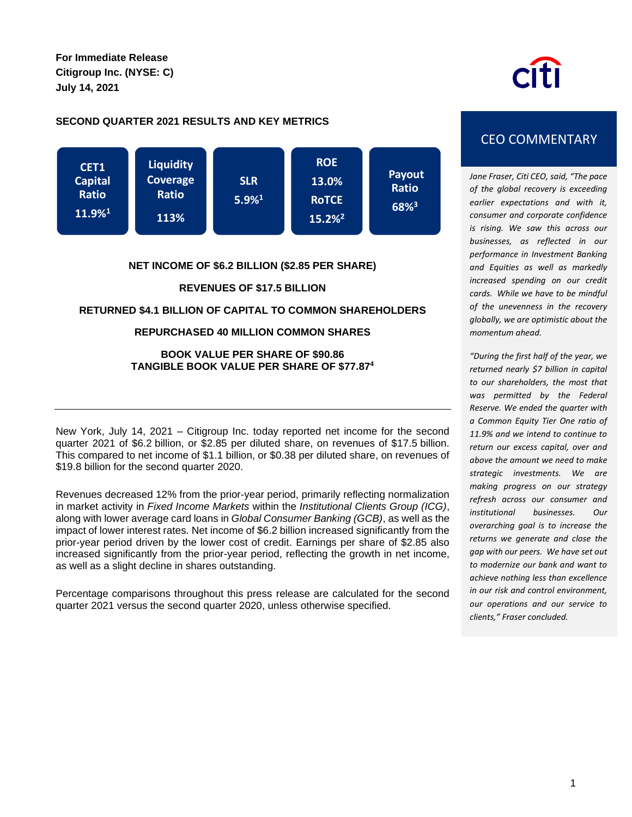**For Immediate Release Citigroup Inc. (NYSE: C) July 14, 2021**

# **SECOND QUARTER 2021 RESULTS AND KEY METRICS**



## **NET INCOME OF \$6.2 BILLION (\$2.85 PER SHARE)**

## **REVENUES OF \$17.5 BILLION**

## **RETURNED \$4.1 BILLION OF CAPITAL TO COMMON SHAREHOLDERS**

## **REPURCHASED 40 MILLION COMMON SHARES**

## **BOOK VALUE PER SHARE OF \$90.86 TANGIBLE BOOK VALUE PER SHARE OF \$77.87<sup>4</sup>**

New York, July 14, 2021 – Citigroup Inc. today reported net income for the second quarter 2021 of \$6.2 billion, or \$2.85 per diluted share, on revenues of \$17.5 billion. This compared to net income of \$1.1 billion, or \$0.38 per diluted share, on revenues of \$19.8 billion for the second quarter 2020.

Revenues decreased 12% from the prior-year period, primarily reflecting normalization in market activity in *Fixed Income Markets* within the *Institutional Clients Group (ICG)*, along with lower average card loans in *Global Consumer Banking (GCB)*, as well as the impact of lower interest rates*.* Net income of \$6.2 billion increased significantly from the prior-year period driven by the lower cost of credit. Earnings per share of \$2.85 also increased significantly from the prior-year period, reflecting the growth in net income, as well as a slight decline in shares outstanding.

Percentage comparisons throughout this press release are calculated for the second quarter 2021 versus the second quarter 2020, unless otherwise specified.

# CEO COMMENTARY

*Jane Fraser, Citi CEO, said, "The pace of the global recovery is exceeding earlier expectations and with it, consumer and corporate confidence is rising. We saw this across our businesses, as reflected in our performance in Investment Banking and Equities as well as markedly increased spending on our credit cards. While we have to be mindful of the unevenness in the recovery globally, we are optimistic about the momentum ahead.*

*"During the first half of the year, we returned nearly \$7 billion in capital to our shareholders, the most that was permitted by the Federal Reserve. We ended the quarter with a Common Equity Tier One ratio of 11.9% and we intend to continue to return our excess capital, over and above the amount we need to make strategic investments. We are making progress on our strategy refresh across our consumer and institutional businesses. Our overarching goal is to increase the returns we generate and close the gap with our peers. We have set out to modernize our bank and want to achieve nothing less than excellence in our risk and control environment, our operations and our service to clients," Fraser concluded.*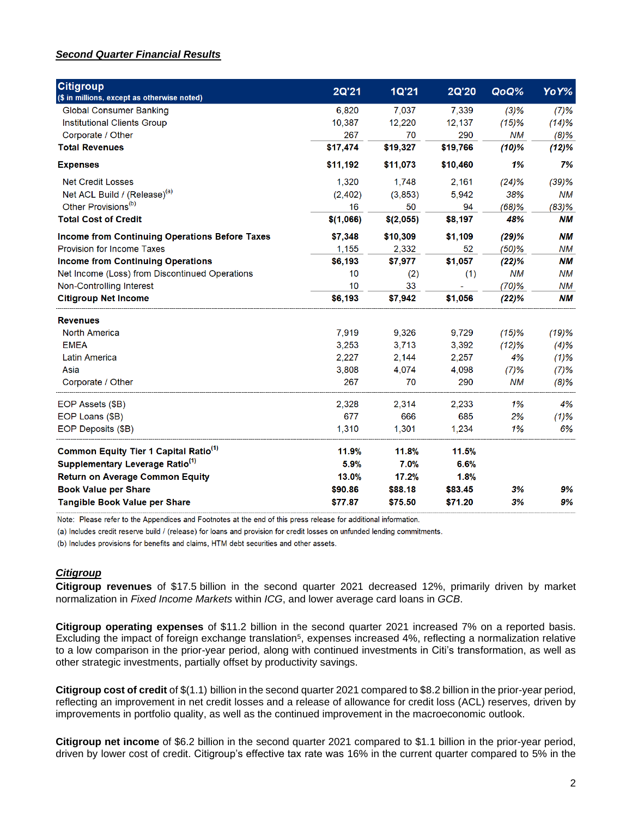# *Second Quarter Financial Results*

| <b>Citigroup</b><br>(\$ in millions, except as otherwise noted) | <b>2Q'21</b> | <b>1Q'21</b> | <b>2Q'20</b> | QoQ%      | YoY%      |
|-----------------------------------------------------------------|--------------|--------------|--------------|-----------|-----------|
| <b>Global Consumer Banking</b>                                  | 6,820        | 7,037        | 7,339        | (3)%      | (7)%      |
| <b>Institutional Clients Group</b>                              | 10,387       | 12,220       | 12,137       | $(15)\%$  | (14)%     |
| Corporate / Other                                               | 267          | 70           | 290          | <b>NM</b> | $(8)\%$   |
| <b>Total Revenues</b>                                           | \$17,474     | \$19,327     | \$19,766     | $(10)\%$  | (12)%     |
| <b>Expenses</b>                                                 | \$11,192     | \$11,073     | \$10,460     | 1%        | 7%        |
| <b>Net Credit Losses</b>                                        | 1,320        | 1,748        | 2,161        | $(24)\%$  | (39)%     |
| Net ACL Build / (Release) <sup>(a)</sup>                        | (2,402)      | (3,853)      | 5,942        | 38%       | <b>NM</b> |
| Other Provisions <sup>(b)</sup>                                 | 16           | 50           | 94           | (68)%     | (83)%     |
| <b>Total Cost of Credit</b>                                     | \$(1,066)    | \$(2,055)    | \$8,197      | 48%       | NΜ        |
| <b>Income from Continuing Operations Before Taxes</b>           | \$7,348      | \$10,309     | \$1,109      | (29)%     | <b>NM</b> |
| <b>Provision for Income Taxes</b>                               | 1,155        | 2,332        | 52           | $(50)$ %  | <b>NM</b> |
| <b>Income from Continuing Operations</b>                        | \$6,193      | \$7,977      | \$1,057      | (22)%     | <b>NM</b> |
| Net Income (Loss) from Discontinued Operations                  | 10           | (2)          | (1)          | <b>NM</b> | <b>NM</b> |
| Non-Controlling Interest                                        | 10           | 33           |              | (70)%     | <b>NM</b> |
| <b>Citigroup Net Income</b>                                     | \$6,193      | \$7,942      | \$1,056      | (22)%     | <b>NM</b> |
| <b>Revenues</b>                                                 |              |              |              |           |           |
| <b>North America</b>                                            | 7,919        | 9,326        | 9,729        | $(15)\%$  | (19)%     |
| <b>EMEA</b>                                                     | 3,253        | 3,713        | 3,392        | $(12)\%$  | (4)%      |
| <b>Latin America</b>                                            | 2,227        | 2,144        | 2,257        | 4%        | $(1)\%$   |
| Asia                                                            | 3,808        | 4,074        | 4,098        | (7)%      | (7)%      |
| Corporate / Other                                               | 267          | 70           | 290          | <b>NM</b> | $(8)\%$   |
| EOP Assets (\$B)                                                | 2,328        | 2,314        | 2,233        | 1%        | 4%        |
| EOP Loans (\$B)                                                 | 677          | 666          | 685          | 2%        | (1)%      |
| EOP Deposits (\$B)                                              | 1,310        | 1,301        | 1,234        | 1%        | 6%        |
| Common Equity Tier 1 Capital Ratio <sup>(1)</sup>               | 11.9%        | 11.8%        | 11.5%        |           |           |
| Supplementary Leverage Ratio <sup>(1)</sup>                     | 5.9%         | 7.0%         | 6.6%         |           |           |
| <b>Return on Average Common Equity</b>                          | 13.0%        | 17.2%        | 1.8%         |           |           |
| <b>Book Value per Share</b>                                     | \$90.86      | \$88.18      | \$83.45      | 3%        | 9%        |
| <b>Tangible Book Value per Share</b>                            | \$77.87      | \$75.50      | \$71.20      | 3%        | 9%        |

Note: Please refer to the Appendices and Footnotes at the end of this press release for additional information.

(a) Includes credit reserve build / (release) for loans and provision for credit losses on unfunded lending commitments.

(b) Includes provisions for benefits and claims, HTM debt securities and other assets.

# *Citigroup*

**Citigroup revenues** of \$17.5 billion in the second quarter 2021 decreased 12%, primarily driven by market normalization in *Fixed Income Markets* within *ICG*, and lower average card loans in *GCB*.

**Citigroup operating expenses** of \$11.2 billion in the second quarter 2021 increased 7% on a reported basis. Excluding the impact of foreign exchange translation<sup>5</sup>, expenses increased 4%, reflecting a normalization relative to a low comparison in the prior-year period, along with continued investments in Citi's transformation, as well as other strategic investments, partially offset by productivity savings.

**Citigroup cost of credit** of \$(1.1) billion in the second quarter 2021 compared to \$8.2 billion in the prior-year period, reflecting an improvement in net credit losses and a release of allowance for credit loss (ACL) reserves*,* driven by improvements in portfolio quality, as well as the continued improvement in the macroeconomic outlook.

**Citigroup net income** of \$6.2 billion in the second quarter 2021 compared to \$1.1 billion in the prior-year period, driven by lower cost of credit. Citigroup's effective tax rate was 16% in the current quarter compared to 5% in the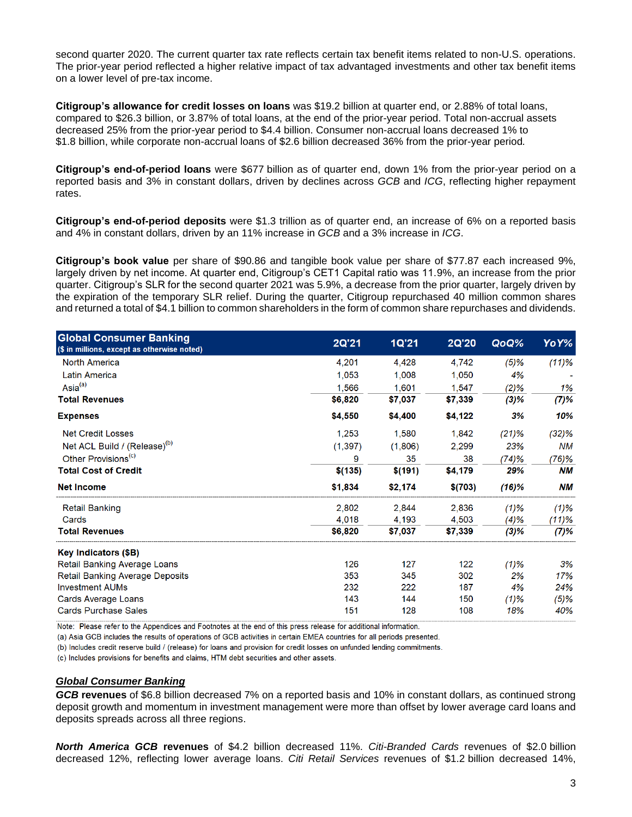second quarter 2020. The current quarter tax rate reflects certain tax benefit items related to non-U.S. operations. The prior-year period reflected a higher relative impact of tax advantaged investments and other tax benefit items on a lower level of pre-tax income.

**Citigroup's allowance for credit losses on loans** was \$19.2 billion at quarter end, or 2.88% of total loans, compared to \$26.3 billion, or 3.87% of total loans, at the end of the prior-year period. Total non-accrual assets decreased 25% from the prior-year period to \$4.4 billion. Consumer non-accrual loans decreased 1% to \$1.8 billion, while corporate non-accrual loans of \$2.6 billion decreased 36% from the prior-year period*.*

**Citigroup's end-of-period loans** were \$677 billion as of quarter end, down 1% from the prior-year period on a reported basis and 3% in constant dollars, driven by declines across *GCB* and *ICG*, reflecting higher repayment rates.

**Citigroup's end-of-period deposits** were \$1.3 trillion as of quarter end, an increase of 6% on a reported basis and 4% in constant dollars, driven by an 11% increase in *GCB* and a 3% increase in *ICG*.

**Citigroup's book value** per share of \$90.86 and tangible book value per share of \$77.87 each increased 9%, largely driven by net income. At quarter end, Citigroup's CET1 Capital ratio was 11.9%, an increase from the prior quarter. Citigroup's SLR for the second quarter 2021 was 5.9%, a decrease from the prior quarter, largely driven by the expiration of the temporary SLR relief. During the quarter, Citigroup repurchased 40 million common shares and returned a total of \$4.1 billion to common shareholders in the form of common share repurchases and dividends.

| <b>Global Consumer Banking</b><br>(\$ in millions, except as otherwise noted) | <b>2Q'21</b>     | <b>1Q'21</b>  | <b>2Q'20</b>     | QoQ%           | YoY%        |                   |
|-------------------------------------------------------------------------------|------------------|---------------|------------------|----------------|-------------|-------------------|
| <b>North America</b>                                                          | 4,201            | 4,428         | 4,742            | $(5)\%$        | (11)%       |                   |
| <b>Latin America</b>                                                          | 1,053<br>1,566   | 1,008         | 1,050            | 4%             |             |                   |
| Asia <sup>(a)</sup>                                                           |                  | 1,601         | 1,547            | $(2)\%$        | 1%          |                   |
| <b>Total Revenues</b>                                                         | \$6,820          | \$7,037       | \$7,339          | (3)%           | (7)%        |                   |
| <b>Expenses</b><br><b>Net Credit Losses</b>                                   | \$4,550<br>1,253 | \$4,400       | \$4,122<br>1,842 | 3%<br>$(21)\%$ | 10%         |                   |
|                                                                               |                  | 1,580         |                  |                | (32)%       |                   |
| Net ACL Build / (Release) <sup>(b)</sup>                                      | (1, 397)         | (1,806)       | 2,299            | 23%            | ΝM          |                   |
| Other Provisions <sup>(c)</sup><br><b>Total Cost of Credit</b>                | 9<br>\$(135)     | 35<br>\$(191) | 38<br>\$4,179    | (74)%<br>29%   | (76)%<br>NМ |                   |
|                                                                               |                  |               |                  |                |             | <b>Net Income</b> |
| <b>Retail Banking</b>                                                         | 2,802            | 2.844         | 2,836            | $(1)\%$        | $(1)$ %     |                   |
| Cards                                                                         | 4,018            | 4,193         | 4,503            | (4)%           | (11)%       |                   |
| <b>Total Revenues</b>                                                         | \$6,820          | \$7,037       | \$7,339          | $(3)\%$        | (7)%        |                   |
| <b>Key Indicators (\$B)</b>                                                   |                  |               |                  |                |             |                   |
| <b>Retail Banking Average Loans</b>                                           | 126              | 127           | 122              | $(1)\%$        | 3%          |                   |
| <b>Retail Banking Average Deposits</b>                                        | 353              | 345           | 302              | 2%             | 17%         |                   |
| <b>Investment AUMs</b>                                                        | 232              | 222           | 187              | 4%             | 24%         |                   |
| Cards Average Loans                                                           | 143              | 144           | 150              | $(1)\%$        | $(5)\%$     |                   |
| <b>Cards Purchase Sales</b>                                                   | 151              | 128           | 108              | 18%            | 40%         |                   |

Note: Please refer to the Appendices and Footnotes at the end of this press release for additional information.

(a) Asia GCB includes the results of operations of GCB activities in certain EMEA countries for all periods presented.

(b) Includes credit reserve build / (release) for loans and provision for credit losses on unfunded lending commitments.

(c) Includes provisions for benefits and claims, HTM debt securities and other assets.

### *Global Consumer Banking*

*GCB* **revenues** of \$6.8 billion decreased 7% on a reported basis and 10% in constant dollars, as continued strong deposit growth and momentum in investment management were more than offset by lower average card loans and deposits spreads across all three regions.

*North America GCB* **revenues** of \$4.2 billion decreased 11%. *Citi-Branded Cards* revenues of \$2.0 billion decreased 12%, reflecting lower average loans. *Citi Retail Services* revenues of \$1.2 billion decreased 14%,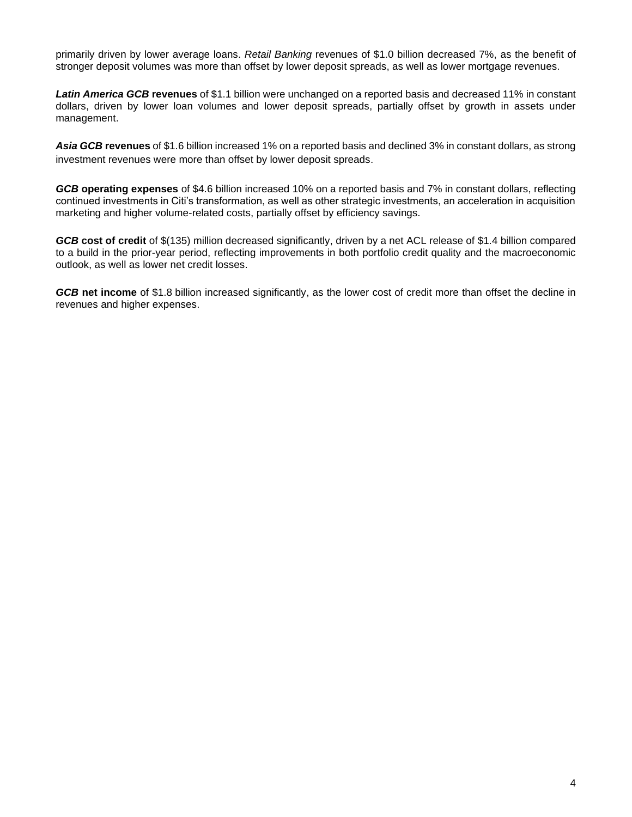primarily driven by lower average loans. *Retail Banking* revenues of \$1.0 billion decreased 7%, as the benefit of stronger deposit volumes was more than offset by lower deposit spreads, as well as lower mortgage revenues.

*Latin America GCB* **revenues** of \$1.1 billion were unchanged on a reported basis and decreased 11% in constant dollars, driven by lower loan volumes and lower deposit spreads, partially offset by growth in assets under management.

*Asia GCB* **revenues** of \$1.6 billion increased 1% on a reported basis and declined 3% in constant dollars, as strong investment revenues were more than offset by lower deposit spreads.

*GCB* **operating expenses** of \$4.6 billion increased 10% on a reported basis and 7% in constant dollars, reflecting continued investments in Citi's transformation, as well as other strategic investments, an acceleration in acquisition marketing and higher volume-related costs, partially offset by efficiency savings.

*GCB* **cost of credit** of \$(135) million decreased significantly, driven by a net ACL release of \$1.4 billion compared to a build in the prior-year period, reflecting improvements in both portfolio credit quality and the macroeconomic outlook, as well as lower net credit losses.

GCB net income of \$1.8 billion increased significantly, as the lower cost of credit more than offset the decline in revenues and higher expenses.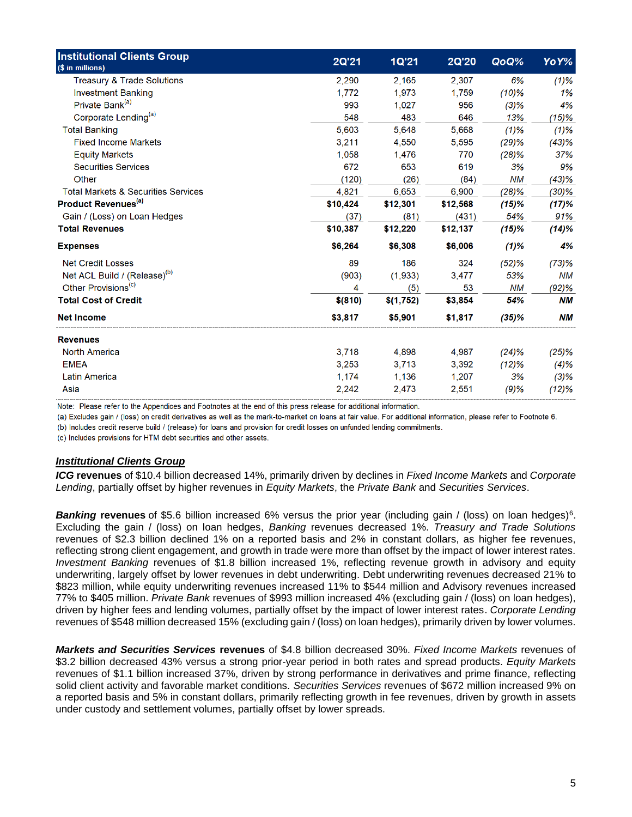| <b>Institutional Clients Group</b><br>$(s$ in millions) | <b>2Q'21</b> | <b>1Q'21</b> | <b>2Q'20</b> | QoQ%      | YoY%      |
|---------------------------------------------------------|--------------|--------------|--------------|-----------|-----------|
| Treasury & Trade Solutions                              | 2,290        | 2,165        | 2,307        | 6%        | $(1)\%$   |
| <b>Investment Banking</b>                               | 1,772        | 1,973        | 1,759        | $(10)\%$  | 1%        |
| Private Bank <sup>(a)</sup>                             | 993          | 1,027        | 956          | (3)%      | 4%        |
| Corporate Lending <sup>(a)</sup>                        | 548          | 483          | 646          | 13%       | (15)%     |
| <b>Total Banking</b>                                    | 5,603        | 5.648        | 5,668        | (1)%      | (1)%      |
| <b>Fixed Income Markets</b>                             | 3,211        | 4,550        | 5,595        | (29)%     | (43)%     |
| <b>Equity Markets</b>                                   | 1,058        | 1,476        | 770          | $(28)\%$  | 37%       |
| <b>Securities Services</b>                              | 672          | 653          | 619          | 3%        | 9%        |
| Other                                                   | (120)        | (26)         | (84)         | <b>NM</b> | (43)%     |
| <b>Total Markets &amp; Securities Services</b>          | 4,821        | 6,653        | 6,900        | (28)%     | (30)%     |
| Product Revenues <sup>(a)</sup>                         | \$10,424     | \$12,301     | \$12,568     | (15)%     | (17)%     |
| Gain / (Loss) on Loan Hedges                            | (37)         | (81)         | (431)        | 54%       | 91%       |
| <b>Total Revenues</b>                                   | \$10,387     | \$12,220     | \$12,137     | (15)%     | (14)%     |
| <b>Expenses</b>                                         | \$6,264      | \$6,308      | \$6,006      | (1)%      | 4%        |
| <b>Net Credit Losses</b>                                | 89           | 186          | 324          | $(52)$ %  | (73)%     |
| Net ACL Build / (Release) <sup>(b)</sup>                | (903)        | (1,933)      | 3,477        | 53%       | <b>NM</b> |
| Other Provisions <sup>(c)</sup>                         | 4            | (5)          | 53           | <b>NM</b> | (92)%     |
| <b>Total Cost of Credit</b>                             | \$(810)      | \$(1,752)    | \$3,854      | 54%       | <b>NM</b> |
| <b>Net Income</b>                                       | \$3,817      | \$5,901      | \$1,817      | $(35)\%$  | <b>NM</b> |
| <b>Revenues</b>                                         |              |              |              |           |           |
| <b>North America</b>                                    | 3,718        | 4,898        | 4,987        | $(24)\%$  | $(25)\%$  |
| <b>EMEA</b>                                             | 3,253        | 3,713        | 3,392        | $(12)\%$  | (4)%      |
| <b>Latin America</b>                                    | 1,174        | 1,136        | 1,207        | 3%        | (3)%      |
| Asia                                                    | 2,242        | 2,473        | 2,551        | (9)%      | (12)%     |

Note: Please refer to the Appendices and Footnotes at the end of this press release for additional information.

(a) Excludes gain / (loss) on credit derivatives as well as the mark-to-market on loans at fair value. For additional information, please refer to Footnote 6.

(b) Includes credit reserve build / (release) for loans and provision for credit losses on unfunded lending commitments.

(c) Includes provisions for HTM debt securities and other assets.

## *Institutional Clients Group*

*ICG* **revenues** of \$10.4 billion decreased 14%, primarily driven by declines in *Fixed Income Markets* and *Corporate Lending*, partially offset by higher revenues in *Equity Markets*, the *Private Bank* and *Securities Services*.

**Banking revenues** of \$5.6 billion increased 6% versus the prior year (including gain / (loss) on loan hedges)<sup>6</sup>. Excluding the gain / (loss) on loan hedges, *Banking* revenues decreased 1%. *Treasury and Trade Solutions* revenues of \$2.3 billion declined 1% on a reported basis and 2% in constant dollars, as higher fee revenues, reflecting strong client engagement, and growth in trade were more than offset by the impact of lower interest rates. *Investment Banking* revenues of \$1.8 billion increased 1%, reflecting revenue growth in advisory and equity underwriting, largely offset by lower revenues in debt underwriting. Debt underwriting revenues decreased 21% to \$823 million, while equity underwriting revenues increased 11% to \$544 million and Advisory revenues increased 77% to \$405 million. *Private Bank* revenues of \$993 million increased 4% (excluding gain / (loss) on loan hedges), driven by higher fees and lending volumes, partially offset by the impact of lower interest rates. *Corporate Lending* revenues of \$548 million decreased 15% (excluding gain / (loss) on loan hedges), primarily driven by lower volumes.

*Markets and Securities Services* **revenues** of \$4.8 billion decreased 30%. *Fixed Income Markets* revenues of \$3.2 billion decreased 43% versus a strong prior-year period in both rates and spread products. *Equity Markets* revenues of \$1.1 billion increased 37%, driven by strong performance in derivatives and prime finance, reflecting solid client activity and favorable market conditions. *Securities Services* revenues of \$672 million increased 9% on a reported basis and 5% in constant dollars, primarily reflecting growth in fee revenues, driven by growth in assets under custody and settlement volumes, partially offset by lower spreads.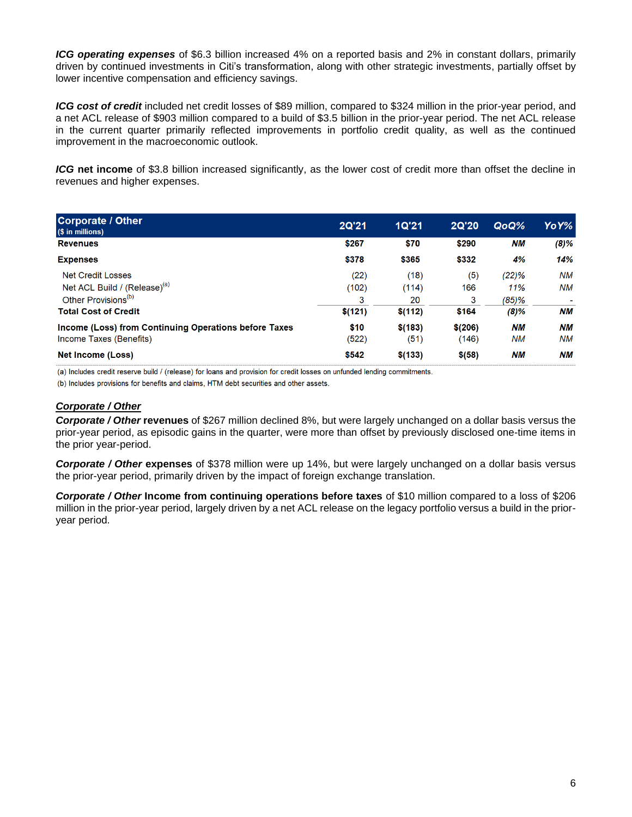*ICG operating expenses* of \$6.3 billion increased 4% on a reported basis and 2% in constant dollars, primarily driven by continued investments in Citi's transformation, along with other strategic investments, partially offset by lower incentive compensation and efficiency savings.

*ICG cost of credit* included net credit losses of \$89 million, compared to \$324 million in the prior-year period, and a net ACL release of \$903 million compared to a build of \$3.5 billion in the prior-year period. The net ACL release in the current quarter primarily reflected improvements in portfolio credit quality, as well as the continued improvement in the macroeconomic outlook.

*ICG* net income of \$3.8 billion increased significantly, as the lower cost of credit more than offset the decline in revenues and higher expenses.

| <b>Corporate / Other</b><br>(\$ in millions)          | <b>2Q'21</b> | 1Q'21   | <b>2Q'20</b> | QoQ%      | Yo Y%     |
|-------------------------------------------------------|--------------|---------|--------------|-----------|-----------|
| <b>Revenues</b>                                       | \$267        | \$70    | \$290        | NМ        | $(8)\%$   |
| <b>Expenses</b>                                       | \$378        | \$365   | \$332        | 4%        | 14%       |
| <b>Net Credit Losses</b>                              | (22)         | (18)    | (5)          | (22)%     | <b>NM</b> |
| Net ACL Build / $(Release)^{(a)}$                     | (102)        | (114)   | 166          | 11%       | NM        |
| Other Provisions <sup>(b)</sup>                       |              | 20      | 3            | (85)%     |           |
| <b>Total Cost of Credit</b>                           | \$(121)      | \$(112) | \$164        | $(8)\%$   | <b>NM</b> |
| Income (Loss) from Continuing Operations before Taxes | \$10         | \$(183) | \$(206)      | <b>NM</b> | <b>NM</b> |
| Income Taxes (Benefits)                               | (522)        | (51)    | (146)        | ΝM        | <b>NM</b> |
| <b>Net Income (Loss)</b>                              | \$542        | \$(133) | \$(58)       | <b>NM</b> | <b>NM</b> |

(a) Includes credit reserve build / (release) for loans and provision for credit losses on unfunded lending commitments.

(b) Includes provisions for benefits and claims, HTM debt securities and other assets.

## *Corporate / Other*

*Corporate / Other* **revenues** of \$267 million declined 8%, but were largely unchanged on a dollar basis versus the prior-year period, as episodic gains in the quarter, were more than offset by previously disclosed one-time items in the prior year-period.

*Corporate / Other* **expenses** of \$378 million were up 14%, but were largely unchanged on a dollar basis versus the prior-year period, primarily driven by the impact of foreign exchange translation.

*Corporate / Other* **Income from continuing operations before taxes** of \$10 million compared to a loss of \$206 million in the prior-year period, largely driven by a net ACL release on the legacy portfolio versus a build in the prioryear period.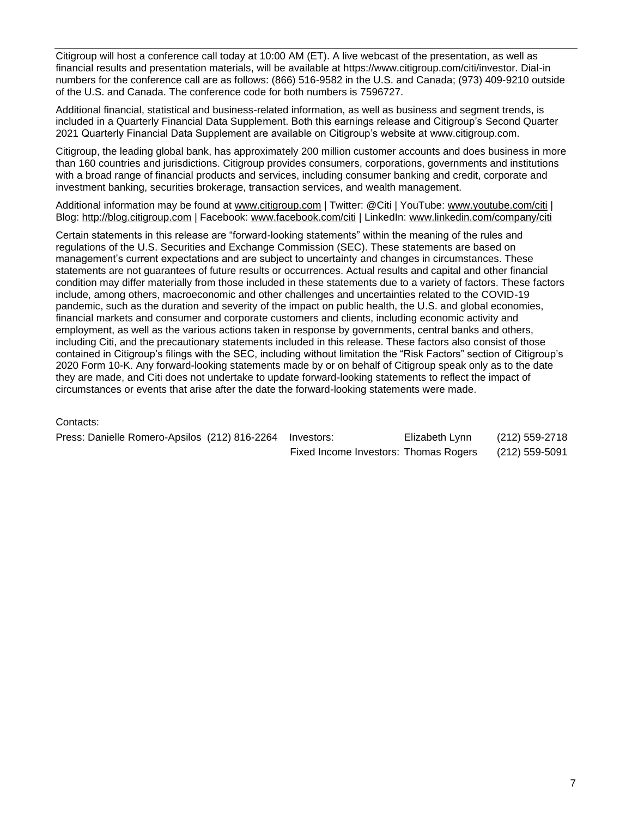Citigroup will host a conference call today at 10:00 AM (ET). A live webcast of the presentation, as well as financial results and presentation materials, will be available at https://www.citigroup.com/citi/investor. Dial-in numbers for the conference call are as follows: (866) 516-9582 in the U.S. and Canada; (973) 409-9210 outside of the U.S. and Canada. The conference code for both numbers is 7596727.

Additional financial, statistical and business-related information, as well as business and segment trends, is included in a Quarterly Financial Data Supplement. Both this earnings release and Citigroup's Second Quarter 2021 Quarterly Financial Data Supplement are available on Citigroup's website at [www.citigroup.com.](http://www.citigroup.com/)

Citigroup, the leading global bank, has approximately 200 million customer accounts and does business in more than 160 countries and jurisdictions. Citigroup provides consumers, corporations, governments and institutions with a broad range of financial products and services, including consumer banking and credit, corporate and investment banking, securities brokerage, transaction services, and wealth management.

Additional information may be found at [www.citigroup.com](http://www.citigroup.com/) | Twitter: @Citi | YouTube: [www.youtube.com/citi](http://www.youtube.com/citi) | Blog: [http://blog.citigroup.com](http://blog.citigroup.com/) | Facebook: [www.facebook.com/citi](http://www.facebook.com/citi) | LinkedIn: [www.linkedin.com/company/citi](http://www.linkedin.com/company/citi)

Certain statements in this release are "forward-looking statements" within the meaning of the rules and regulations of the U.S. Securities and Exchange Commission (SEC). These statements are based on management's current expectations and are subject to uncertainty and changes in circumstances. These statements are not guarantees of future results or occurrences. Actual results and capital and other financial condition may differ materially from those included in these statements due to a variety of factors. These factors include, among others, macroeconomic and other challenges and uncertainties related to the COVID-19 pandemic, such as the duration and severity of the impact on public health, the U.S. and global economies, financial markets and consumer and corporate customers and clients, including economic activity and employment, as well as the various actions taken in response by governments, central banks and others, including Citi, and the precautionary statements included in this release. These factors also consist of those contained in Citigroup's filings with the SEC, including without limitation the "Risk Factors" section of Citigroup's 2020 Form 10-K. Any forward-looking statements made by or on behalf of Citigroup speak only as to the date they are made, and Citi does not undertake to update forward-looking statements to reflect the impact of circumstances or events that arise after the date the forward-looking statements were made.

## Contacts:

| Press: Danielle Romero-Apsilos (212) 816-2264 Investors: |                                       | Elizabeth Lynn | (212) 559-2718 |
|----------------------------------------------------------|---------------------------------------|----------------|----------------|
|                                                          | Fixed Income Investors: Thomas Rogers |                | (212) 559-5091 |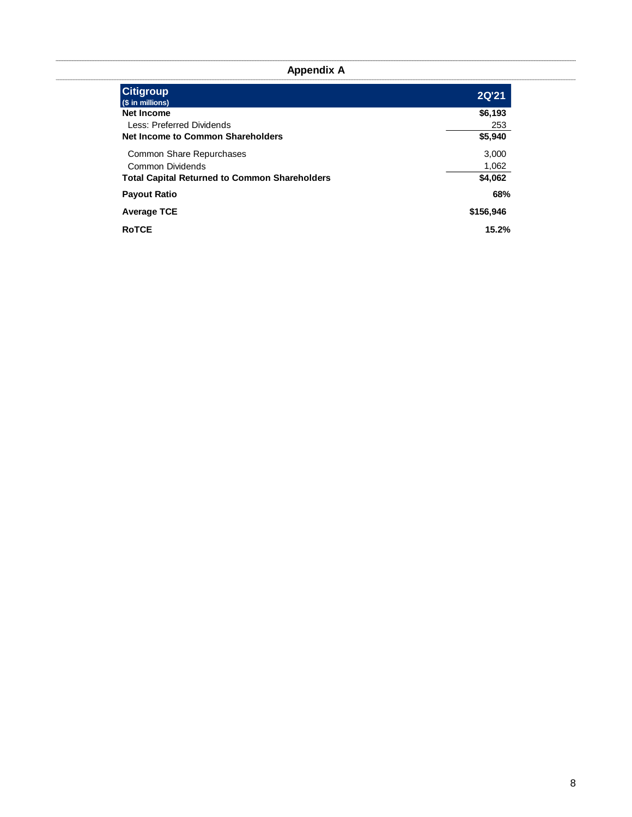**Appendix A**

| <b>Citigroup</b><br>(\$ in millions)                 | <b>2Q'21</b> |
|------------------------------------------------------|--------------|
| Net Income                                           | \$6,193      |
| Less: Preferred Dividends                            | 253          |
| Net Income to Common Shareholders                    | \$5,940      |
| <b>Common Share Repurchases</b>                      | 3,000        |
| Common Dividends                                     | 1,062        |
| <b>Total Capital Returned to Common Shareholders</b> | \$4,062      |
| <b>Payout Ratio</b>                                  | 68%          |
| <b>Average TCE</b>                                   | \$156,946    |
| <b>RoTCE</b>                                         | 15.2%        |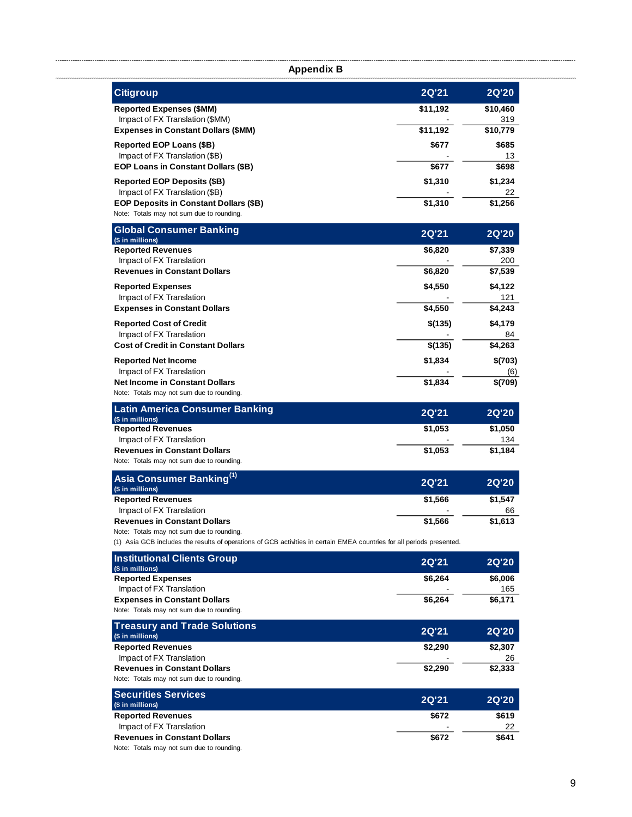| <b>Appendix B</b>                                                                                                      |              |                 |
|------------------------------------------------------------------------------------------------------------------------|--------------|-----------------|
| <b>Citigroup</b>                                                                                                       | <b>2Q'21</b> | <b>2Q'20</b>    |
| <b>Reported Expenses (\$MM)</b><br>Impact of FX Translation (\$MM)                                                     | \$11,192     | \$10,460<br>319 |
| <b>Expenses in Constant Dollars (\$MM)</b>                                                                             | \$11,192     | \$10,779        |
| <b>Reported EOP Loans (\$B)</b><br>Impact of FX Translation (\$B)                                                      | \$677        | \$685<br>13     |
| <b>EOP Loans in Constant Dollars (\$B)</b>                                                                             | \$677        | \$698           |
| <b>Reported EOP Deposits (\$B)</b><br>Impact of FX Translation (\$B)                                                   | \$1,310      | \$1,234<br>22   |
| EOP Deposits in Constant Dollars (\$B)<br>Note: Totals may not sum due to rounding.                                    | \$1,310      | \$1,256         |
| <b>Global Consumer Banking</b>                                                                                         | <b>2Q'21</b> | <b>2Q'20</b>    |
| (\$ in millions)<br><b>Reported Revenues</b>                                                                           | \$6,820      | \$7,339         |
| Impact of FX Translation                                                                                               |              | 200             |
| <b>Revenues in Constant Dollars</b>                                                                                    | \$6,820      | \$7,539         |
| <b>Reported Expenses</b>                                                                                               | \$4,550      | \$4,122         |
| Impact of FX Translation                                                                                               |              | 121             |
| <b>Expenses in Constant Dollars</b>                                                                                    | \$4,550      | \$4,243         |
| <b>Reported Cost of Credit</b><br>Impact of FX Translation                                                             | \$(135)      | \$4,179<br>84   |
| <b>Cost of Credit in Constant Dollars</b>                                                                              | \$(135)      | \$4,263         |
| <b>Reported Net Income</b><br>Impact of FX Translation                                                                 | \$1,834      | \$(703)<br>(6)  |
| <b>Net Income in Constant Dollars</b><br>Note: Totals may not sum due to rounding.                                     | \$1,834      | \$(709)         |
| <b>Latin America Consumer Banking</b><br>(\$ in millions)                                                              | <b>2Q'21</b> | <b>2Q'20</b>    |
| <b>Reported Revenues</b><br>Impact of FX Translation                                                                   | \$1,053      | \$1,050<br>134  |
| <b>Revenues in Constant Dollars</b><br>Note: Totals may not sum due to rounding.                                       | \$1,053      | \$1,184         |
| Asia Consumer Banking <sup>(1)</sup><br>(\$ in millions)                                                               | <b>2Q'21</b> | <b>2Q'20</b>    |
| <b>Reported Revenues</b><br>Impact of FX Translation                                                                   | \$1,566      | \$1,547<br>66   |
| <b>Revenues in Constant Dollars</b><br>Note: Totals may not sum due to rounding.                                       | \$1,566      | \$1,613         |
| (1) Asia GCB includes the results of operations of GCB activities in certain EMEA countries for all periods presented. |              |                 |
| <b>Institutional Clients Group</b><br>(\$ in millions)                                                                 | <b>2Q'21</b> | <b>2Q'20</b>    |
| <b>Reported Expenses</b>                                                                                               | \$6,264      | \$6,006         |
| Impact of FX Translation                                                                                               | \$6,264      | 165             |
| <b>Expenses in Constant Dollars</b><br>Note: Totals may not sum due to rounding.                                       |              | \$6,171         |
| <b>Treasury and Trade Solutions</b><br>(\$ in millions)                                                                | <b>2Q'21</b> | <b>2Q'20</b>    |
| <b>Reported Revenues</b>                                                                                               | \$2,290      | \$2,307         |
| Impact of FX Translation                                                                                               |              | 26              |
| <b>Revenues in Constant Dollars</b><br>Note: Totals may not sum due to rounding.                                       | \$2,290      | \$2,333         |
| <b>Securities Services</b><br>(\$ in millions)                                                                         | <b>2Q'21</b> | <b>2Q'20</b>    |
| <b>Reported Revenues</b>                                                                                               | \$672        | \$619           |
| Impact of FX Translation                                                                                               |              | 22              |
| <b>Revenues in Constant Dollars</b><br>Note: Totals may not sum due to rounding.                                       | \$672        | \$641           |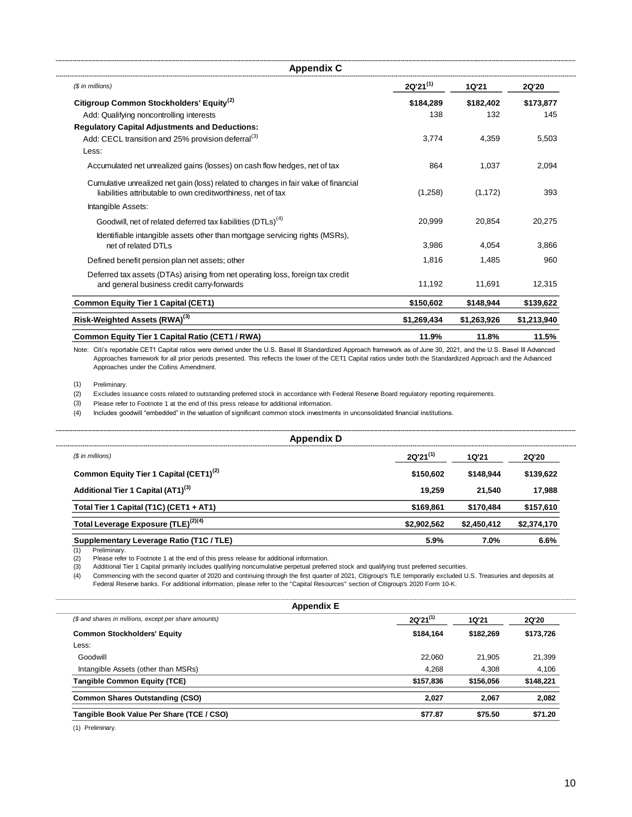| <b>Appendix C</b>                                                                                                                                   |               |             |              |
|-----------------------------------------------------------------------------------------------------------------------------------------------------|---------------|-------------|--------------|
| $$$ in millions)                                                                                                                                    | $2Q'21^{(1)}$ | 1Q'21       | <b>2Q'20</b> |
| Citigroup Common Stockholders' Equity <sup>(2)</sup>                                                                                                | \$184,289     | \$182,402   | \$173.877    |
| Add: Qualifying noncontrolling interests                                                                                                            | 138           | 132         | 145          |
| <b>Regulatory Capital Adjustments and Deductions:</b>                                                                                               |               |             |              |
| Add: CECL transition and 25% provision deferral <sup>(3)</sup>                                                                                      | 3,774         | 4,359       | 5,503        |
| Less:                                                                                                                                               |               |             |              |
| Accumulated net unrealized gains (losses) on cash flow hedges, net of tax                                                                           | 864           | 1,037       | 2,094        |
| Cumulative unrealized net gain (loss) related to changes in fair value of financial<br>liabilities attributable to own creditworthiness, net of tax | (1,258)       | (1, 172)    | 393          |
| Intangible Assets:                                                                                                                                  |               |             |              |
| Goodwill, net of related deferred tax liabilities (DTLs) <sup>(4)</sup>                                                                             | 20.999        | 20,854      | 20,275       |
| Identifiable intangible assets other than mortgage servicing rights (MSRs),<br>net of related DTLs                                                  | 3,986         | 4,054       | 3,866        |
| Defined benefit pension plan net assets; other                                                                                                      | 1,816         | 1,485       | 960          |
| Deferred tax assets (DTAs) arising from net operating loss, foreign tax credit<br>and general business credit carry-forwards                        | 11,192        | 11,691      | 12,315       |
| <b>Common Equity Tier 1 Capital (CET1)</b>                                                                                                          | \$150,602     | \$148,944   | \$139,622    |
| Risk-Weighted Assets (RWA) <sup>(3)</sup>                                                                                                           | \$1,269,434   | \$1,263,926 | \$1,213,940  |
| <b>Common Equity Tier 1 Capital Ratio (CET1 / RWA)</b>                                                                                              | 11.9%         | 11.8%       | 11.5%        |

Note: Citi's reportable CET1 Capital ratios were derived under the U.S. Basel III Standardized Approach framework as of June 30, 2021, and the U.S. Basel III Advanced Approaches framework for all prior periods presented. This reflects the lower of the CET1 Capital ratios under both the Standardized Approach and the Advanced Approaches under the Collins Amendment.

(1) Preliminary.

L.

(2) Excludes issuance costs related to outstanding preferred stock in accordance with Federal Reserve Board regulatory reporting requirements.

(3) Please refer to Footnote 1 at the end of this press release for additional information.

 $(4)$ Includes goodwill "embedded" in the valuation of significant common stock investments in unconsolidated financial institutions.

| <b>Appendix D</b>                                  |               |             |              |
|----------------------------------------------------|---------------|-------------|--------------|
| (\$ in millions)                                   | $2Q'21^{(1)}$ | 10'21       | <b>2Q'20</b> |
| Common Equity Tier 1 Capital (CET1) <sup>(2)</sup> | \$150,602     | \$148.944   | \$139,622    |
| Additional Tier 1 Capital (AT1) <sup>(3)</sup>     | 19.259        | 21.540      | 17.988       |
| Total Tier 1 Capital (T1C) (CET1 + AT1)            | \$169,861     | \$170.484   | \$157,610    |
| Total Leverage Exposure (TLE) <sup>(2)(4)</sup>    | \$2,902.562   | \$2,450,412 | \$2,374,170  |
| Supplementary Leverage Ratio (T1C / TLE)           | 5.9%          | 7.0%        | 6.6%         |

(1) Preliminary.

(2) Please refer to Footnote 1 at the end of this press release for additional information.

(3) Additional Tier 1 Capital primarily includes qualifying noncumulative perpetual preferred stock and qualifying trust preferred securities.

(4) Commencing with the second quarter of 2020 and continuing through the first quarter of 2021, Citigroup's TLE temporarily excluded U.S. Treasuries and deposits at Federal Reserve banks. For additional information, please refer to the "Capital Resources" section of Citigroup's 2020 Form 10-K.

| $2Q'21^{(1)}$ | 1Q'21     | <b>2Q'20</b> |
|---------------|-----------|--------------|
| \$184.164     | \$182,269 | \$173,726    |
|               |           |              |
| 22.060        | 21.905    | 21.399       |
| 4.268         | 4.308     | 4,106        |
| \$157,836     | \$156,056 | \$148,221    |
| 2.027         | 2.067     | 2,082        |
| \$77.87       | \$75.50   | \$71.20      |
|               |           |              |

(1) Preliminary.